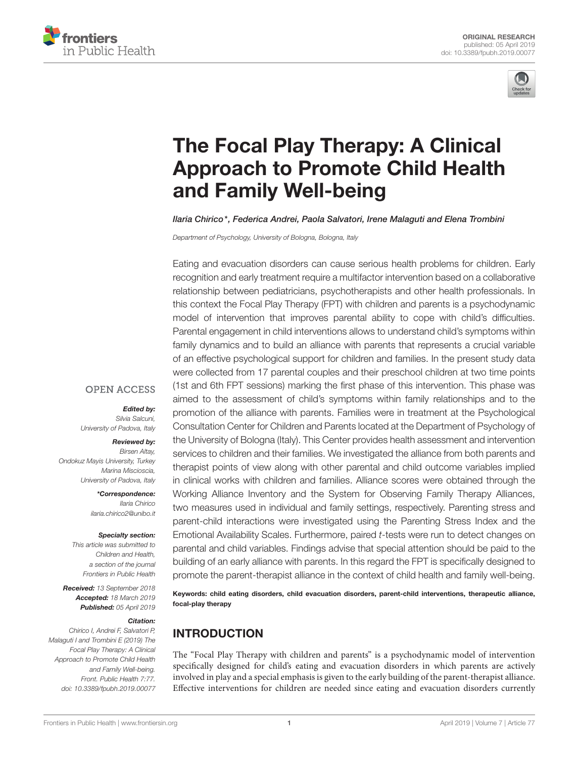



# The Focal Play Therapy: A Clinical [Approach to Promote Child Health](https://www.frontiersin.org/articles/10.3389/fpubh.2019.00077/full) and Family Well-being

[Ilaria Chirico\\*](http://loop.frontiersin.org/people/251117/overview), [Federica Andrei,](http://loop.frontiersin.org/people/202093/overview) [Paola Salvatori,](http://loop.frontiersin.org/people/203325/overview) Irene Malaguti and Elena [Trombini](http://loop.frontiersin.org/people/589291/overview)

*Department of Psychology, University of Bologna, Bologna, Italy*

Eating and evacuation disorders can cause serious health problems for children. Early recognition and early treatment require a multifactor intervention based on a collaborative relationship between pediatricians, psychotherapists and other health professionals. In this context the Focal Play Therapy (FPT) with children and parents is a psychodynamic model of intervention that improves parental ability to cope with child's difficulties. Parental engagement in child interventions allows to understand child's symptoms within family dynamics and to build an alliance with parents that represents a crucial variable of an effective psychological support for children and families. In the present study data were collected from 17 parental couples and their preschool children at two time points (1st and 6th FPT sessions) marking the first phase of this intervention. This phase was aimed to the assessment of child's symptoms within family relationships and to the promotion of the alliance with parents. Families were in treatment at the Psychological Consultation Center for Children and Parents located at the Department of Psychology of the University of Bologna (Italy). This Center provides health assessment and intervention services to children and their families. We investigated the alliance from both parents and therapist points of view along with other parental and child outcome variables implied in clinical works with children and families. Alliance scores were obtained through the Working Alliance Inventory and the System for Observing Family Therapy Alliances, two measures used in individual and family settings, respectively. Parenting stress and parent-child interactions were investigated using the Parenting Stress Index and the Emotional Availability Scales. Furthermore, paired *t*-tests were run to detect changes on parental and child variables. Findings advise that special attention should be paid to the building of an early alliance with parents. In this regard the FPT is specifically designed to promote the parent-therapist alliance in the context of child health and family well-being.

Keywords: child eating disorders, child evacuation disorders, parent-child interventions, therapeutic alliance, focal-play therapy

# INTRODUCTION

The "Focal Play Therapy with children and parents" is a psychodynamic model of intervention specifically designed for child's eating and evacuation disorders in which parents are actively involved in play and a special emphasis is given to the early building of the parent-therapist alliance. Effective interventions for children are needed since eating and evacuation disorders currently

#### **OPEN ACCESS**

#### Edited by:

*Silvia Salcuni, University of Padova, Italy*

#### Reviewed by:

*Birsen Altay, Ondokuz Mayis University, Turkey Marina Miscioscia, University of Padova, Italy*

> \*Correspondence: *Ilaria Chirico [ilaria.chirico2@unibo.it](mailto:ilaria.chirico2@unibo.it)*

#### Specialty section:

*This article was submitted to Children and Health, a section of the journal Frontiers in Public Health*

Received: *13 September 2018* Accepted: *18 March 2019* Published: *05 April 2019*

#### Citation:

*Chirico I, Andrei F, Salvatori P, Malaguti I and Trombini E (2019) The Focal Play Therapy: A Clinical Approach to Promote Child Health and Family Well-being. Front. Public Health 7:77. doi: [10.3389/fpubh.2019.00077](https://doi.org/10.3389/fpubh.2019.00077)*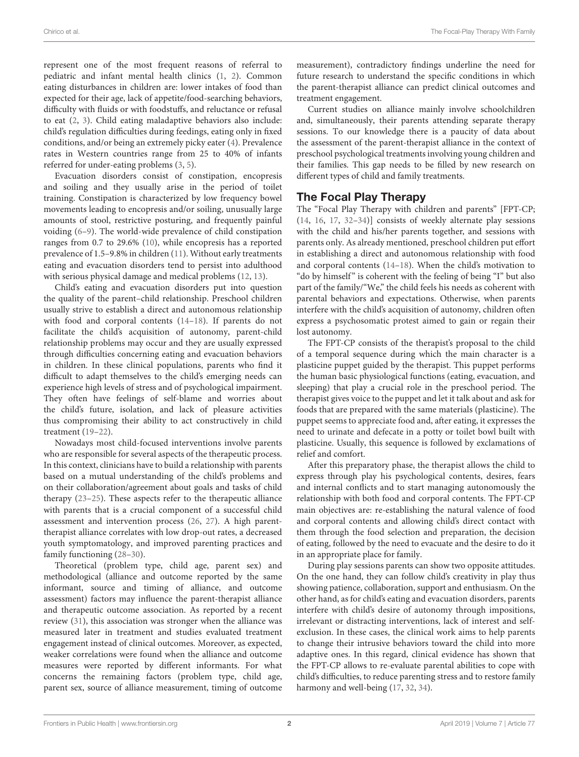represent one of the most frequent reasons of referral to pediatric and infant mental health clinics [\(1,](#page-7-0) [2\)](#page-7-1). Common eating disturbances in children are: lower intakes of food than expected for their age, lack of appetite/food-searching behaviors, difficulty with fluids or with foodstuffs, and reluctance or refusal to eat [\(2,](#page-7-1) [3\)](#page-7-2). Child eating maladaptive behaviors also include: child's regulation difficulties during feedings, eating only in fixed conditions, and/or being an extremely picky eater [\(4\)](#page-7-3). Prevalence rates in Western countries range from 25 to 40% of infants referred for under-eating problems [\(3,](#page-7-2) [5\)](#page-7-4).

Evacuation disorders consist of constipation, encopresis and soiling and they usually arise in the period of toilet training. Constipation is characterized by low frequency bowel movements leading to encopresis and/or soiling, unusually large amounts of stool, restrictive posturing, and frequently painful voiding [\(6](#page-7-5)[–9\)](#page-7-6). The world-wide prevalence of child constipation ranges from 0.7 to 29.6% [\(10\)](#page-7-7), while encopresis has a reported prevalence of 1.5–9.8% in children [\(11\)](#page-7-8). Without early treatments eating and evacuation disorders tend to persist into adulthood with serious physical damage and medical problems [\(12,](#page-7-9) [13\)](#page-7-10).

Child's eating and evacuation disorders put into question the quality of the parent–child relationship. Preschool children usually strive to establish a direct and autonomous relationship with food and corporal contents [\(14–](#page-7-11)[18\)](#page-7-12). If parents do not facilitate the child's acquisition of autonomy, parent-child relationship problems may occur and they are usually expressed through difficulties concerning eating and evacuation behaviors in children. In these clinical populations, parents who find it difficult to adapt themselves to the child's emerging needs can experience high levels of stress and of psychological impairment. They often have feelings of self-blame and worries about the child's future, isolation, and lack of pleasure activities thus compromising their ability to act constructively in child treatment [\(19–](#page-7-13)[22\)](#page-7-14).

Nowadays most child-focused interventions involve parents who are responsible for several aspects of the therapeutic process. In this context, clinicians have to build a relationship with parents based on a mutual understanding of the child's problems and on their collaboration/agreement about goals and tasks of child therapy [\(23](#page-7-15)[–25\)](#page-7-16). These aspects refer to the therapeutic alliance with parents that is a crucial component of a successful child assessment and intervention process [\(26,](#page-7-17) [27\)](#page-7-18). A high parenttherapist alliance correlates with low drop-out rates, a decreased youth symptomatology, and improved parenting practices and family functioning [\(28](#page-7-19)[–30\)](#page-7-20).

Theoretical (problem type, child age, parent sex) and methodological (alliance and outcome reported by the same informant, source and timing of alliance, and outcome assessment) factors may influence the parent-therapist alliance and therapeutic outcome association. As reported by a recent review [\(31\)](#page-7-21), this association was stronger when the alliance was measured later in treatment and studies evaluated treatment engagement instead of clinical outcomes. Moreover, as expected, weaker correlations were found when the alliance and outcome measures were reported by different informants. For what concerns the remaining factors (problem type, child age, parent sex, source of alliance measurement, timing of outcome measurement), contradictory findings underline the need for future research to understand the specific conditions in which the parent-therapist alliance can predict clinical outcomes and treatment engagement.

Current studies on alliance mainly involve schoolchildren and, simultaneously, their parents attending separate therapy sessions. To our knowledge there is a paucity of data about the assessment of the parent-therapist alliance in the context of preschool psychological treatments involving young children and their families. This gap needs to be filled by new research on different types of child and family treatments.

## The Focal Play Therapy

The "Focal Play Therapy with children and parents" [FPT-CP; [\(14,](#page-7-11) [16,](#page-7-22) [17,](#page-7-23) [32](#page-7-24)[–34\)](#page-7-25)] consists of weekly alternate play sessions with the child and his/her parents together, and sessions with parents only. As already mentioned, preschool children put effort in establishing a direct and autonomous relationship with food and corporal contents [\(14](#page-7-11)[–18\)](#page-7-12). When the child's motivation to "do by himself" is coherent with the feeling of being "I" but also part of the family/"We," the child feels his needs as coherent with parental behaviors and expectations. Otherwise, when parents interfere with the child's acquisition of autonomy, children often express a psychosomatic protest aimed to gain or regain their lost autonomy.

The FPT-CP consists of the therapist's proposal to the child of a temporal sequence during which the main character is a plasticine puppet guided by the therapist. This puppet performs the human basic physiological functions (eating, evacuation, and sleeping) that play a crucial role in the preschool period. The therapist gives voice to the puppet and let it talk about and ask for foods that are prepared with the same materials (plasticine). The puppet seems to appreciate food and, after eating, it expresses the need to urinate and defecate in a potty or toilet bowl built with plasticine. Usually, this sequence is followed by exclamations of relief and comfort.

After this preparatory phase, the therapist allows the child to express through play his psychological contents, desires, fears and internal conflicts and to start managing autonomously the relationship with both food and corporal contents. The FPT-CP main objectives are: re-establishing the natural valence of food and corporal contents and allowing child's direct contact with them through the food selection and preparation, the decision of eating, followed by the need to evacuate and the desire to do it in an appropriate place for family.

During play sessions parents can show two opposite attitudes. On the one hand, they can follow child's creativity in play thus showing patience, collaboration, support and enthusiasm. On the other hand, as for child's eating and evacuation disorders, parents interfere with child's desire of autonomy through impositions, irrelevant or distracting interventions, lack of interest and selfexclusion. In these cases, the clinical work aims to help parents to change their intrusive behaviors toward the child into more adaptive ones. In this regard, clinical evidence has shown that the FPT-CP allows to re-evaluate parental abilities to cope with child's difficulties, to reduce parenting stress and to restore family harmony and well-being [\(17,](#page-7-23) [32,](#page-7-24) [34\)](#page-7-25).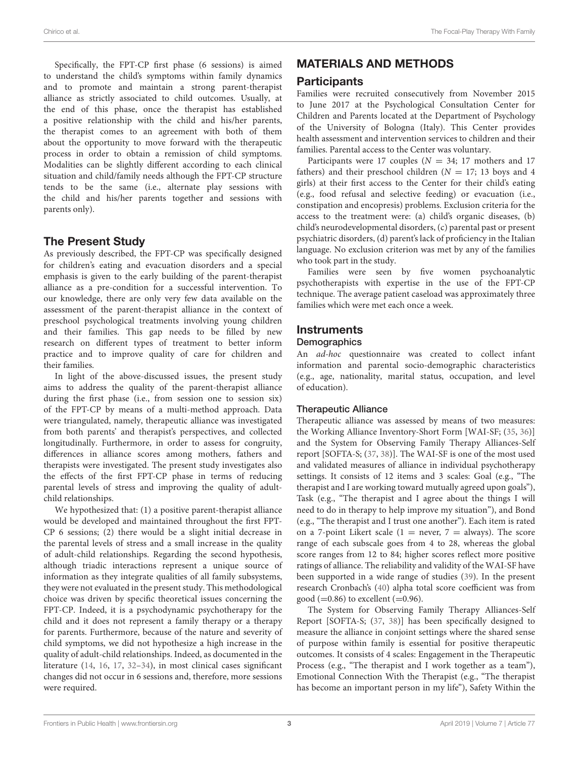Specifically, the FPT-CP first phase (6 sessions) is aimed to understand the child's symptoms within family dynamics and to promote and maintain a strong parent-therapist alliance as strictly associated to child outcomes. Usually, at the end of this phase, once the therapist has established a positive relationship with the child and his/her parents, the therapist comes to an agreement with both of them about the opportunity to move forward with the therapeutic process in order to obtain a remission of child symptoms. Modalities can be slightly different according to each clinical situation and child/family needs although the FPT-CP structure tends to be the same (i.e., alternate play sessions with the child and his/her parents together and sessions with parents only).

## The Present Study

As previously described, the FPT-CP was specifically designed for children's eating and evacuation disorders and a special emphasis is given to the early building of the parent-therapist alliance as a pre-condition for a successful intervention. To our knowledge, there are only very few data available on the assessment of the parent-therapist alliance in the context of preschool psychological treatments involving young children and their families. This gap needs to be filled by new research on different types of treatment to better inform practice and to improve quality of care for children and their families.

In light of the above-discussed issues, the present study aims to address the quality of the parent-therapist alliance during the first phase (i.e., from session one to session six) of the FPT-CP by means of a multi-method approach. Data were triangulated, namely, therapeutic alliance was investigated from both parents' and therapist's perspectives, and collected longitudinally. Furthermore, in order to assess for congruity, differences in alliance scores among mothers, fathers and therapists were investigated. The present study investigates also the effects of the first FPT-CP phase in terms of reducing parental levels of stress and improving the quality of adultchild relationships.

We hypothesized that: (1) a positive parent-therapist alliance would be developed and maintained throughout the first FPT-CP 6 sessions; (2) there would be a slight initial decrease in the parental levels of stress and a small increase in the quality of adult-child relationships. Regarding the second hypothesis, although triadic interactions represent a unique source of information as they integrate qualities of all family subsystems, they were not evaluated in the present study. This methodological choice was driven by specific theoretical issues concerning the FPT-CP. Indeed, it is a psychodynamic psychotherapy for the child and it does not represent a family therapy or a therapy for parents. Furthermore, because of the nature and severity of child symptoms, we did not hypothesize a high increase in the quality of adult-child relationships. Indeed, as documented in the literature [\(14,](#page-7-11) [16,](#page-7-22) [17,](#page-7-23) [32](#page-7-24)[–34\)](#page-7-25), in most clinical cases significant changes did not occur in 6 sessions and, therefore, more sessions were required.

## MATERIALS AND METHODS

## **Participants**

Families were recruited consecutively from November 2015 to June 2017 at the Psychological Consultation Center for Children and Parents located at the Department of Psychology of the University of Bologna (Italy). This Center provides health assessment and intervention services to children and their families. Parental access to the Center was voluntary.

Participants were 17 couples ( $N = 34$ ; 17 mothers and 17 fathers) and their preschool children ( $N = 17$ ; 13 boys and 4 girls) at their first access to the Center for their child's eating (e.g., food refusal and selective feeding) or evacuation (i.e., constipation and encopresis) problems. Exclusion criteria for the access to the treatment were: (a) child's organic diseases, (b) child's neurodevelopmental disorders, (c) parental past or present psychiatric disorders, (d) parent's lack of proficiency in the Italian language. No exclusion criterion was met by any of the families who took part in the study.

Families were seen by five women psychoanalytic psychotherapists with expertise in the use of the FPT-CP technique. The average patient caseload was approximately three families which were met each once a week.

# **Instruments**

#### **Demographics**

An ad-hoc questionnaire was created to collect infant information and parental socio-demographic characteristics (e.g., age, nationality, marital status, occupation, and level of education).

#### Therapeutic Alliance

Therapeutic alliance was assessed by means of two measures: the Working Alliance Inventory-Short Form [WAI-SF; [\(35,](#page-7-26) [36\)](#page-7-27)] and the System for Observing Family Therapy Alliances-Self report [SOFTA-S; [\(37,](#page-7-28) [38\)](#page-7-29)]. The WAI-SF is one of the most used and validated measures of alliance in individual psychotherapy settings. It consists of 12 items and 3 scales: Goal (e.g., "The therapist and I are working toward mutually agreed upon goals"), Task (e.g., "The therapist and I agree about the things I will need to do in therapy to help improve my situation"), and Bond (e.g., "The therapist and I trust one another"). Each item is rated on a 7-point Likert scale (1 = never, 7 = always). The score range of each subscale goes from 4 to 28, whereas the global score ranges from 12 to 84; higher scores reflect more positive ratings of alliance. The reliability and validity of the WAI-SF have been supported in a wide range of studies [\(39\)](#page-8-0). In the present research Cronbach's [\(40\)](#page-8-1) alpha total score coefficient was from good  $(=0.86)$  to excellent  $(=0.96)$ .

The System for Observing Family Therapy Alliances-Self Report [SOFTA-S; [\(37,](#page-7-28) [38\)](#page-7-29)] has been specifically designed to measure the alliance in conjoint settings where the shared sense of purpose within family is essential for positive therapeutic outcomes. It consists of 4 scales: Engagement in the Therapeutic Process (e.g., "The therapist and I work together as a team"), Emotional Connection With the Therapist (e.g., "The therapist has become an important person in my life"), Safety Within the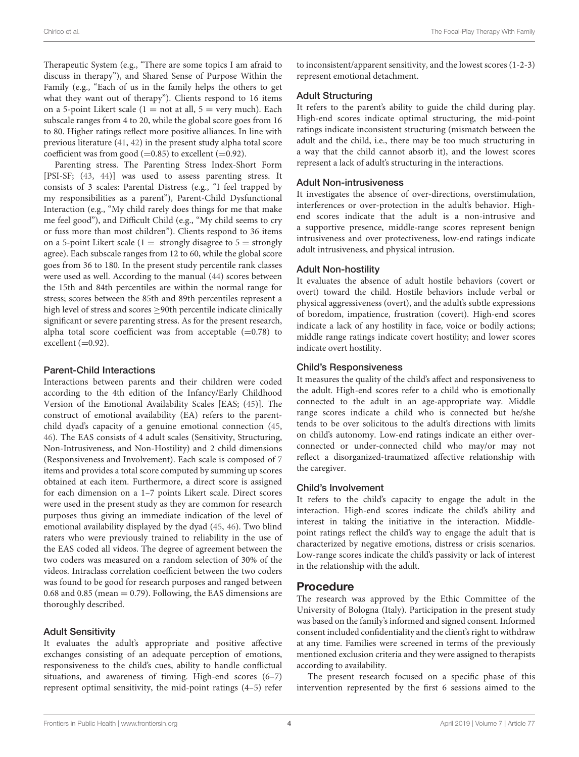Therapeutic System (e.g., "There are some topics I am afraid to discuss in therapy"), and Shared Sense of Purpose Within the Family (e.g., "Each of us in the family helps the others to get what they want out of therapy"). Clients respond to 16 items on a 5-point Likert scale ( $1 = not$  at all,  $5 = very$  much). Each subscale ranges from 4 to 20, while the global score goes from 16 to 80. Higher ratings reflect more positive alliances. In line with previous literature [\(41,](#page-8-2) [42\)](#page-8-3) in the present study alpha total score coefficient was from good  $(=0.85)$  to excellent  $(=0.92)$ .

Parenting stress. The Parenting Stress Index-Short Form [PSI-SF; [\(43,](#page-8-4) [44\)](#page-8-5)] was used to assess parenting stress. It consists of 3 scales: Parental Distress (e.g., "I feel trapped by my responsibilities as a parent"), Parent-Child Dysfunctional Interaction (e.g., "My child rarely does things for me that make me feel good"), and Difficult Child (e.g., "My child seems to cry or fuss more than most children"). Clients respond to 36 items on a 5-point Likert scale ( $1 =$  strongly disagree to  $5 =$  strongly agree). Each subscale ranges from 12 to 60, while the global score goes from 36 to 180. In the present study percentile rank classes were used as well. According to the manual [\(44\)](#page-8-5) scores between the 15th and 84th percentiles are within the normal range for stress; scores between the 85th and 89th percentiles represent a high level of stress and scores ≥90th percentile indicate clinically significant or severe parenting stress. As for the present research, alpha total score coefficient was from acceptable  $(=0.78)$  to excellent  $(=0.92)$ .

#### Parent-Child Interactions

Interactions between parents and their children were coded according to the 4th edition of the Infancy/Early Childhood Version of the Emotional Availability Scales [EAS; [\(45\)](#page-8-6)]. The construct of emotional availability (EA) refers to the parentchild dyad's capacity of a genuine emotional connection [\(45,](#page-8-6) [46\)](#page-8-7). The EAS consists of 4 adult scales (Sensitivity, Structuring, Non-Intrusiveness, and Non-Hostility) and 2 child dimensions (Responsiveness and Involvement). Each scale is composed of 7 items and provides a total score computed by summing up scores obtained at each item. Furthermore, a direct score is assigned for each dimension on a 1–7 points Likert scale. Direct scores were used in the present study as they are common for research purposes thus giving an immediate indication of the level of emotional availability displayed by the dyad [\(45,](#page-8-6) [46\)](#page-8-7). Two blind raters who were previously trained to reliability in the use of the EAS coded all videos. The degree of agreement between the two coders was measured on a random selection of 30% of the videos. Intraclass correlation coefficient between the two coders was found to be good for research purposes and ranged between 0.68 and 0.85 (mean  $= 0.79$ ). Following, the EAS dimensions are thoroughly described.

#### Adult Sensitivity

It evaluates the adult's appropriate and positive affective exchanges consisting of an adequate perception of emotions, responsiveness to the child's cues, ability to handle conflictual situations, and awareness of timing. High-end scores (6–7) represent optimal sensitivity, the mid-point ratings (4–5) refer to inconsistent/apparent sensitivity, and the lowest scores (1-2-3) represent emotional detachment.

#### Adult Structuring

It refers to the parent's ability to guide the child during play. High-end scores indicate optimal structuring, the mid-point ratings indicate inconsistent structuring (mismatch between the adult and the child, i.e., there may be too much structuring in a way that the child cannot absorb it), and the lowest scores represent a lack of adult's structuring in the interactions.

#### Adult Non-intrusiveness

It investigates the absence of over-directions, overstimulation, interferences or over-protection in the adult's behavior. Highend scores indicate that the adult is a non-intrusive and a supportive presence, middle-range scores represent benign intrusiveness and over protectiveness, low-end ratings indicate adult intrusiveness, and physical intrusion.

#### Adult Non-hostility

It evaluates the absence of adult hostile behaviors (covert or overt) toward the child. Hostile behaviors include verbal or physical aggressiveness (overt), and the adult's subtle expressions of boredom, impatience, frustration (covert). High-end scores indicate a lack of any hostility in face, voice or bodily actions; middle range ratings indicate covert hostility; and lower scores indicate overt hostility.

#### Child's Responsiveness

It measures the quality of the child's affect and responsiveness to the adult. High-end scores refer to a child who is emotionally connected to the adult in an age-appropriate way. Middle range scores indicate a child who is connected but he/she tends to be over solicitous to the adult's directions with limits on child's autonomy. Low-end ratings indicate an either overconnected or under-connected child who may/or may not reflect a disorganized-traumatized affective relationship with the caregiver.

#### Child's Involvement

It refers to the child's capacity to engage the adult in the interaction. High-end scores indicate the child's ability and interest in taking the initiative in the interaction. Middlepoint ratings reflect the child's way to engage the adult that is characterized by negative emotions, distress or crisis scenarios. Low-range scores indicate the child's passivity or lack of interest in the relationship with the adult.

#### Procedure

The research was approved by the Ethic Committee of the University of Bologna (Italy). Participation in the present study was based on the family's informed and signed consent. Informed consent included confidentiality and the client's right to withdraw at any time. Families were screened in terms of the previously mentioned exclusion criteria and they were assigned to therapists according to availability.

The present research focused on a specific phase of this intervention represented by the first 6 sessions aimed to the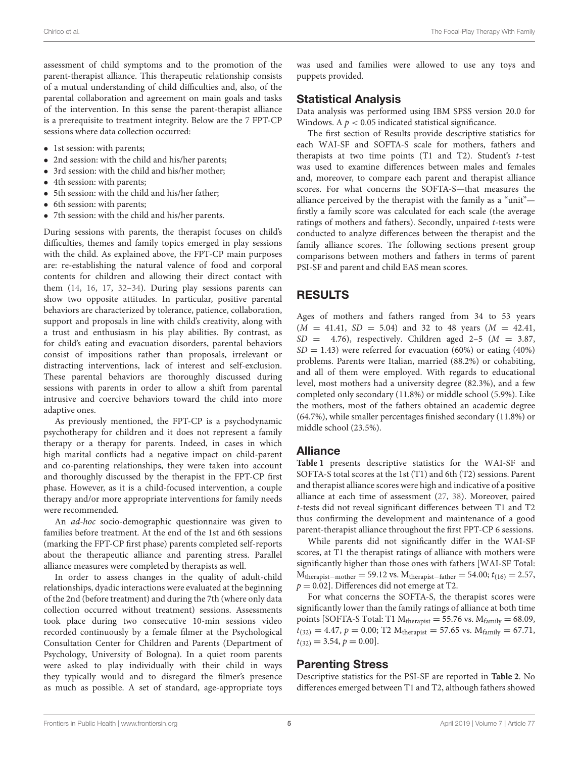assessment of child symptoms and to the promotion of the parent-therapist alliance. This therapeutic relationship consists of a mutual understanding of child difficulties and, also, of the parental collaboration and agreement on main goals and tasks of the intervention. In this sense the parent-therapist alliance is a prerequisite to treatment integrity. Below are the 7 FPT-CP sessions where data collection occurred:

- 1st session: with parents;
- 2nd session: with the child and his/her parents;
- 3rd session: with the child and his/her mother;
- 4th session: with parents;
- 5th session: with the child and his/her father;
- 6th session: with parents;
- 7th session: with the child and his/her parents.

During sessions with parents, the therapist focuses on child's difficulties, themes and family topics emerged in play sessions with the child. As explained above, the FPT-CP main purposes are: re-establishing the natural valence of food and corporal contents for children and allowing their direct contact with them [\(14,](#page-7-11) [16,](#page-7-22) [17,](#page-7-23) [32](#page-7-24)[–34\)](#page-7-25). During play sessions parents can show two opposite attitudes. In particular, positive parental behaviors are characterized by tolerance, patience, collaboration, support and proposals in line with child's creativity, along with a trust and enthusiasm in his play abilities. By contrast, as for child's eating and evacuation disorders, parental behaviors consist of impositions rather than proposals, irrelevant or distracting interventions, lack of interest and self-exclusion. These parental behaviors are thoroughly discussed during sessions with parents in order to allow a shift from parental intrusive and coercive behaviors toward the child into more adaptive ones.

As previously mentioned, the FPT-CP is a psychodynamic psychotherapy for children and it does not represent a family therapy or a therapy for parents. Indeed, in cases in which high marital conflicts had a negative impact on child-parent and co-parenting relationships, they were taken into account and thoroughly discussed by the therapist in the FPT-CP first phase. However, as it is a child-focused intervention, a couple therapy and/or more appropriate interventions for family needs were recommended.

An ad-hoc socio-demographic questionnaire was given to families before treatment. At the end of the 1st and 6th sessions (marking the FPT-CP first phase) parents completed self-reports about the therapeutic alliance and parenting stress. Parallel alliance measures were completed by therapists as well.

In order to assess changes in the quality of adult-child relationships, dyadic interactions were evaluated at the beginning of the 2nd (before treatment) and during the 7th (where only data collection occurred without treatment) sessions. Assessments took place during two consecutive 10-min sessions video recorded continuously by a female filmer at the Psychological Consultation Center for Children and Parents (Department of Psychology, University of Bologna). In a quiet room parents were asked to play individually with their child in ways they typically would and to disregard the filmer's presence as much as possible. A set of standard, age-appropriate toys was used and families were allowed to use any toys and puppets provided.

## Statistical Analysis

Data analysis was performed using IBM SPSS version 20.0 for Windows. A  $p < 0.05$  indicated statistical significance.

The first section of Results provide descriptive statistics for each WAI-SF and SOFTA-S scale for mothers, fathers and therapists at two time points (T1 and T2). Student's  $t$ -test was used to examine differences between males and females and, moreover, to compare each parent and therapist alliance scores. For what concerns the SOFTA-S—that measures the alliance perceived by the therapist with the family as a "unit" firstly a family score was calculated for each scale (the average ratings of mothers and fathers). Secondly, unpaired t-tests were conducted to analyze differences between the therapist and the family alliance scores. The following sections present group comparisons between mothers and fathers in terms of parent PSI-SF and parent and child EAS mean scores.

## RESULTS

Ages of mothers and fathers ranged from 34 to 53 years  $(M = 41.41, SD = 5.04)$  and 32 to 48 years  $(M = 42.41,$  $SD = 4.76$ , respectively. Children aged 2-5 ( $M = 3.87$ ,  $SD = 1.43$ ) were referred for evacuation (60%) or eating (40%) problems. Parents were Italian, married (88.2%) or cohabiting, and all of them were employed. With regards to educational level, most mothers had a university degree (82.3%), and a few completed only secondary (11.8%) or middle school (5.9%). Like the mothers, most of the fathers obtained an academic degree (64.7%), while smaller percentages finished secondary (11.8%) or middle school (23.5%).

## Alliance

**[Table 1](#page-5-0)** presents descriptive statistics for the WAI-SF and SOFTA-S total scores at the 1st (T1) and 6th (T2) sessions. Parent and therapist alliance scores were high and indicative of a positive alliance at each time of assessment [\(27,](#page-7-18) [38\)](#page-7-29). Moreover, paired t-tests did not reveal significant differences between T1 and T2 thus confirming the development and maintenance of a good parent-therapist alliance throughout the first FPT-CP 6 sessions.

While parents did not significantly differ in the WAI-SF scores, at T1 the therapist ratings of alliance with mothers were significantly higher than those ones with fathers [WAI-SF Total:  $M_{\text{therapist}-\text{mother}} = 59.12 \text{ vs. } M_{\text{therapist}-\text{father}} = 54.00; t_{(16)} = 2.57,$  $p = 0.02$ ]. Differences did not emerge at T2.

For what concerns the SOFTA-S, the therapist scores were significantly lower than the family ratings of alliance at both time points [SOFTA-S Total: T1  $M_{therapist} = 55.76$  vs.  $M_{family} = 68.09$ ,  $t_{(32)} = 4.47, p = 0.00; T2 M_{\text{therapist}} = 57.65 \text{ vs. } M_{\text{family}} = 67.71,$  $t_{(32)} = 3.54, p = 0.00$ .

## Parenting Stress

Descriptive statistics for the PSI-SF are reported in **[Table 2](#page-5-1)**. No differences emerged between T1 and T2, although fathers showed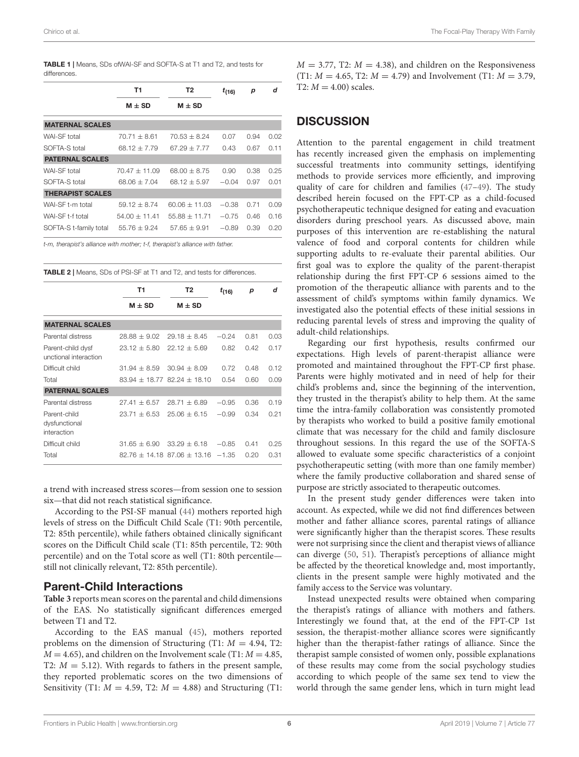<span id="page-5-0"></span>

| <b>TABLE 1</b>   Means, SDs of WAI-SF and SOFTA-S at T1 and T2, and tests for |  |  |  |
|-------------------------------------------------------------------------------|--|--|--|
| differences.                                                                  |  |  |  |

|                         | Т1               | T2               | $t_{(16)}$ | р    | d    |
|-------------------------|------------------|------------------|------------|------|------|
|                         | $M \pm SD$       | $M \pm SD$       |            |      |      |
| <b>MATERNAL SCALES</b>  |                  |                  |            |      |      |
| WAI-SF total            | $70.71 + 8.61$   | $70.53 + 8.24$   | 0.07       | 0.94 | 0.02 |
| SOFTA-S total           | 68.12 $\pm$ 7.79 | $67.29 \pm 7.77$ | 0.43       | 0.67 | 0.11 |
| <b>PATERNAL SCALES</b>  |                  |                  |            |      |      |
| WAI-SF total            | $70.47 + 11.09$  | $68.00 + 8.75$   | 0.90       | 0.38 | 0.25 |
| SOFTA-S total           | $68.06 + 7.04$   | $68.12 + 5.97$   | $-0.04$    | 0.97 | 0.01 |
| <b>THERAPIST SCALES</b> |                  |                  |            |      |      |
| WAI-SF t-m total        | $59.12 + 8.74$   | $60.06 + 11.03$  | $-0.38$    | 0.71 | 0.09 |
| WAI-SF t-f total        | $54.00 + 11.41$  | $55.88 + 11.71$  | $-0.75$    | 0.46 | 0.16 |
| SOFTA-S t-family total  | $55.76 + 9.24$   | $57.65 + 9.91$   | $-0.89$    | 0.39 | 0.20 |

*t-m, therapist's alliance with mother; t-f, therapist's alliance with father.*

<span id="page-5-1"></span>TABLE 2 | Means, SDs of PSI-SF at T1 and T2, and tests for differences.

|                                              | Τ1               | T2                              | $t_{(16)}$ | р    | d    |
|----------------------------------------------|------------------|---------------------------------|------------|------|------|
|                                              | $M \pm SD$       | $M \pm SD$                      |            |      |      |
| <b>MATERNAL SCALES</b>                       |                  |                                 |            |      |      |
| Parental distress                            | $28.88 + 9.02$   | $29.18 + 8.45$                  | $-0.24$    | 0.81 | 0.03 |
| Parent-child dysf<br>unctional interaction   | $23.12 + 5.80$   | $22.12 + 5.69$                  | 0.82       | 0.42 | 0.17 |
| Difficult child                              | $31.94 + 8.59$   | $30.94 + 8.09$                  | 0.72       | 0.48 | 0.12 |
| Total                                        |                  | $83.94 + 18.77$ $82.24 + 18.10$ | 0.54       | 0.60 | 0.09 |
| <b>PATERNAL SCALES</b>                       |                  |                                 |            |      |      |
| Parental distress                            | $27.41 + 6.57$   | $28.71 \pm 6.89$                | $-0.95$    | 0.36 | 0.19 |
| Parent-child<br>dysfunctional<br>interaction | $23.71 \pm 6.53$ | $25.06 \pm 6.15$                | $-0.99$    | 0.34 | 0.21 |
| Difficult child                              | $31.65 + 6.90$   | $33.29 \pm 6.18$                | $-0.85$    | 0.41 | 0.25 |
| Total                                        |                  | $82.76 + 14.18$ $87.06 + 13.16$ | $-1.35$    | 0.20 | 0.31 |

a trend with increased stress scores—from session one to session six—that did not reach statistical significance.

According to the PSI-SF manual [\(44\)](#page-8-5) mothers reported high levels of stress on the Difficult Child Scale (T1: 90th percentile, T2: 85th percentile), while fathers obtained clinically significant scores on the Difficult Child scale (T1: 85th percentile, T2: 90th percentile) and on the Total score as well (T1: 80th percentile still not clinically relevant, T2: 85th percentile).

#### Parent-Child Interactions

**[Table 3](#page-6-0)** reports mean scores on the parental and child dimensions of the EAS. No statistically significant differences emerged between T1 and T2.

According to the EAS manual [\(45\)](#page-8-6), mothers reported problems on the dimension of Structuring (T1:  $M = 4.94$ , T2:  $M = 4.65$ ), and children on the Involvement scale (T1:  $M = 4.85$ , T2:  $M = 5.12$ ). With regards to fathers in the present sample, they reported problematic scores on the two dimensions of Sensitivity (T1:  $M = 4.59$ , T2:  $M = 4.88$ ) and Structuring (T1:  $M = 3.77$ , T2:  $M = 4.38$ ), and children on the Responsiveness  $(T1: M = 4.65, T2: M = 4.79)$  and Involvement  $(T1: M = 3.79, T)$  $T2: M = 4.00$  scales.

#### **DISCUSSION**

Attention to the parental engagement in child treatment has recently increased given the emphasis on implementing successful treatments into community settings, identifying methods to provide services more efficiently, and improving quality of care for children and families [\(47](#page-8-8)[–49\)](#page-8-9). The study described herein focused on the FPT-CP as a child-focused psychotherapeutic technique designed for eating and evacuation disorders during preschool years. As discussed above, main purposes of this intervention are re-establishing the natural valence of food and corporal contents for children while supporting adults to re-evaluate their parental abilities. Our first goal was to explore the quality of the parent-therapist relationship during the first FPT-CP 6 sessions aimed to the promotion of the therapeutic alliance with parents and to the assessment of child's symptoms within family dynamics. We investigated also the potential effects of these initial sessions in reducing parental levels of stress and improving the quality of adult-child relationships.

Regarding our first hypothesis, results confirmed our expectations. High levels of parent-therapist alliance were promoted and maintained throughout the FPT-CP first phase. Parents were highly motivated and in need of help for their child's problems and, since the beginning of the intervention, they trusted in the therapist's ability to help them. At the same time the intra-family collaboration was consistently promoted by therapists who worked to build a positive family emotional climate that was necessary for the child and family disclosure throughout sessions. In this regard the use of the SOFTA-S allowed to evaluate some specific characteristics of a conjoint psychotherapeutic setting (with more than one family member) where the family productive collaboration and shared sense of purpose are strictly associated to therapeutic outcomes.

In the present study gender differences were taken into account. As expected, while we did not find differences between mother and father alliance scores, parental ratings of alliance were significantly higher than the therapist scores. These results were not surprising since the client and therapist views of alliance can diverge [\(50,](#page-8-10) [51\)](#page-8-11). Therapist's perceptions of alliance might be affected by the theoretical knowledge and, most importantly, clients in the present sample were highly motivated and the family access to the Service was voluntary.

Instead unexpected results were obtained when comparing the therapist's ratings of alliance with mothers and fathers. Interestingly we found that, at the end of the FPT-CP 1st session, the therapist-mother alliance scores were significantly higher than the therapist-father ratings of alliance. Since the therapist sample consisted of women only, possible explanations of these results may come from the social psychology studies according to which people of the same sex tend to view the world through the same gender lens, which in turn might lead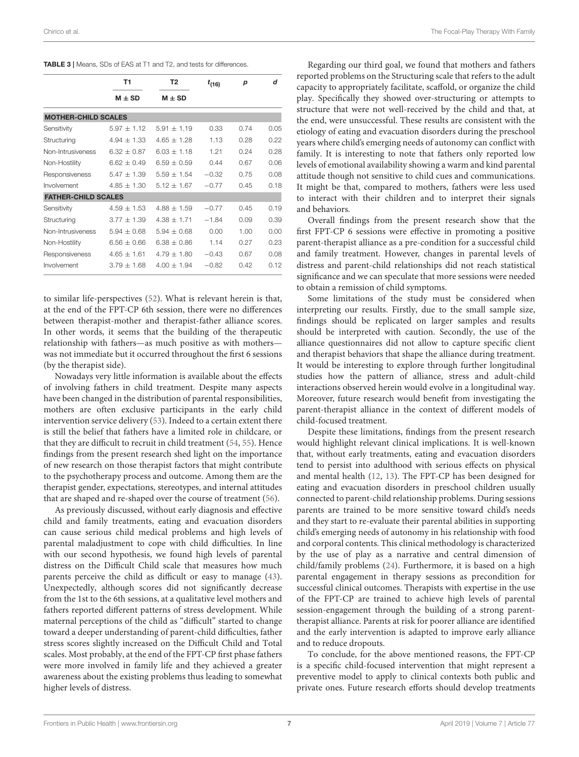<span id="page-6-0"></span>

|  |  |  | <b>TABLE 3</b>   Means, SDs of EAS at T1 and T2, and tests for differences. |
|--|--|--|-----------------------------------------------------------------------------|
|--|--|--|-----------------------------------------------------------------------------|

|                            | Τ1              | T <sub>2</sub> | $t_{(16)}$ | р    | d    |  |  |  |
|----------------------------|-----------------|----------------|------------|------|------|--|--|--|
|                            | $M \pm SD$      | $M \pm SD$     |            |      |      |  |  |  |
| <b>MOTHER-CHILD SCALES</b> |                 |                |            |      |      |  |  |  |
| Sensitivity                | $5.97 + 1.12$   | $5.91 + 1.19$  | 0.33       | 0.74 | 0.05 |  |  |  |
| Structuring                | $4.94 + 1.33$   | $4.65 + 1.28$  | 1.13       | 0.28 | 0.22 |  |  |  |
| Non-Intrusiveness          | $6.32 + 0.87$   | $6.03 + 1.18$  | 1.21       | 0.24 | 0.28 |  |  |  |
| Non-Hostility              | $6.62 \pm 0.49$ | $6.59 + 0.59$  | 0.44       | 0.67 | 0.06 |  |  |  |
| Responsiveness             | $5.47 + 1.39$   | $5.59 + 1.54$  | $-0.32$    | 0.75 | 0.08 |  |  |  |
| Involvement                | $4.85 + 1.30$   | $5.12 + 1.67$  | $-0.77$    | 0.45 | 0.18 |  |  |  |
| <b>FATHER-CHILD SCALES</b> |                 |                |            |      |      |  |  |  |
| Sensitivity                | $4.59 + 1.53$   | $4.88 + 1.59$  | $-0.77$    | 0.45 | 0.19 |  |  |  |
| Structuring                | $3.77 + 1.39$   | $4.38 + 1.71$  | $-1.84$    | 0.09 | 0.39 |  |  |  |
| Non-Intrusiveness          | $5.94 + 0.68$   | $5.94 + 0.68$  | 0.00       | 1.00 | 0.00 |  |  |  |
| Non-Hostility              | $6.56 \pm 0.66$ | $6.38 + 0.86$  | 1.14       | 0.27 | 0.23 |  |  |  |
| Responsiveness             | $4.65 + 1.61$   | $4.79 + 1.80$  | $-0.43$    | 0.67 | 0.08 |  |  |  |
| Involvement                | $3.79 + 1.68$   | $4.00 + 1.94$  | $-0.82$    | 0.42 | 0.12 |  |  |  |

to similar life-perspectives [\(52\)](#page-8-12). What is relevant herein is that, at the end of the FPT-CP 6th session, there were no differences between therapist-mother and therapist-father alliance scores. In other words, it seems that the building of the therapeutic relationship with fathers—as much positive as with mothers was not immediate but it occurred throughout the first 6 sessions (by the therapist side).

Nowadays very little information is available about the effects of involving fathers in child treatment. Despite many aspects have been changed in the distribution of parental responsibilities, mothers are often exclusive participants in the early child intervention service delivery [\(53\)](#page-8-13). Indeed to a certain extent there is still the belief that fathers have a limited role in childcare, or that they are difficult to recruit in child treatment [\(54,](#page-8-14) [55\)](#page-8-15). Hence findings from the present research shed light on the importance of new research on those therapist factors that might contribute to the psychotherapy process and outcome. Among them are the therapist gender, expectations, stereotypes, and internal attitudes that are shaped and re-shaped over the course of treatment [\(56\)](#page-8-16).

As previously discussed, without early diagnosis and effective child and family treatments, eating and evacuation disorders can cause serious child medical problems and high levels of parental maladjustment to cope with child difficulties. In line with our second hypothesis, we found high levels of parental distress on the Difficult Child scale that measures how much parents perceive the child as difficult or easy to manage [\(43\)](#page-8-4). Unexpectedly, although scores did not significantly decrease from the 1st to the 6th sessions, at a qualitative level mothers and fathers reported different patterns of stress development. While maternal perceptions of the child as "difficult" started to change toward a deeper understanding of parent-child difficulties, father stress scores slightly increased on the Difficult Child and Total scales. Most probably, at the end of the FPT-CP first phase fathers were more involved in family life and they achieved a greater awareness about the existing problems thus leading to somewhat higher levels of distress.

Regarding our third goal, we found that mothers and fathers reported problems on the Structuring scale that refers to the adult capacity to appropriately facilitate, scaffold, or organize the child play. Specifically they showed over-structuring or attempts to structure that were not well-received by the child and that, at the end, were unsuccessful. These results are consistent with the etiology of eating and evacuation disorders during the preschool years where child's emerging needs of autonomy can conflict with family. It is interesting to note that fathers only reported low levels of emotional availability showing a warm and kind parental attitude though not sensitive to child cues and communications. It might be that, compared to mothers, fathers were less used to interact with their children and to interpret their signals and behaviors.

Overall findings from the present research show that the first FPT-CP 6 sessions were effective in promoting a positive parent-therapist alliance as a pre-condition for a successful child and family treatment. However, changes in parental levels of distress and parent-child relationships did not reach statistical significance and we can speculate that more sessions were needed to obtain a remission of child symptoms.

Some limitations of the study must be considered when interpreting our results. Firstly, due to the small sample size, findings should be replicated on larger samples and results should be interpreted with caution. Secondly, the use of the alliance questionnaires did not allow to capture specific client and therapist behaviors that shape the alliance during treatment. It would be interesting to explore through further longitudinal studies how the pattern of alliance, stress and adult-child interactions observed herein would evolve in a longitudinal way. Moreover, future research would benefit from investigating the parent-therapist alliance in the context of different models of child-focused treatment.

Despite these limitations, findings from the present research would highlight relevant clinical implications. It is well-known that, without early treatments, eating and evacuation disorders tend to persist into adulthood with serious effects on physical and mental health [\(12,](#page-7-9) [13\)](#page-7-10). The FPT-CP has been designed for eating and evacuation disorders in preschool children usually connected to parent-child relationship problems. During sessions parents are trained to be more sensitive toward child's needs and they start to re-evaluate their parental abilities in supporting child's emerging needs of autonomy in his relationship with food and corporal contents. This clinical methodology is characterized by the use of play as a narrative and central dimension of child/family problems [\(24\)](#page-7-30). Furthermore, it is based on a high parental engagement in therapy sessions as precondition for successful clinical outcomes. Therapists with expertise in the use of the FPT-CP are trained to achieve high levels of parental session-engagement through the building of a strong parenttherapist alliance. Parents at risk for poorer alliance are identified and the early intervention is adapted to improve early alliance and to reduce dropouts.

To conclude, for the above mentioned reasons, the FPT-CP is a specific child-focused intervention that might represent a preventive model to apply to clinical contexts both public and private ones. Future research efforts should develop treatments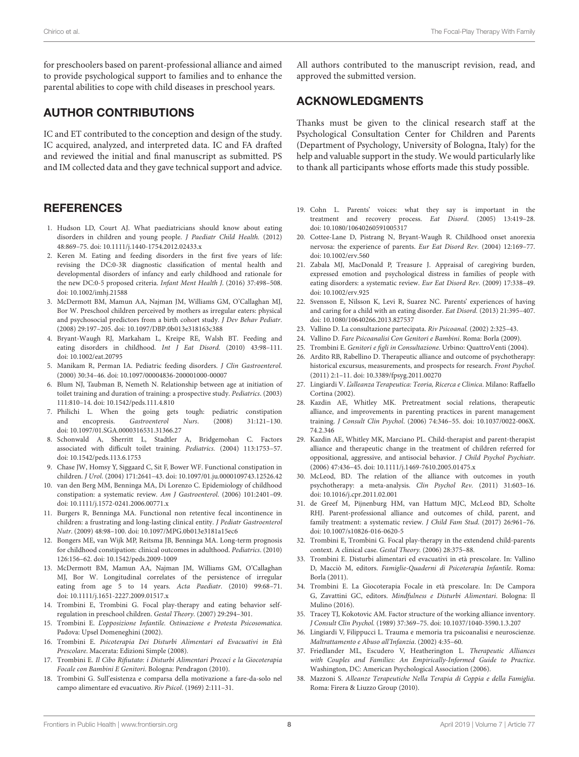for preschoolers based on parent-professional alliance and aimed to provide psychological support to families and to enhance the parental abilities to cope with child diseases in preschool years.

## AUTHOR CONTRIBUTIONS

IC and ET contributed to the conception and design of the study. IC acquired, analyzed, and interpreted data. IC and FA drafted and reviewed the initial and final manuscript as submitted. PS and IM collected data and they gave technical support and advice.

#### **REFERENCES**

- <span id="page-7-0"></span>1. Hudson LD, Court AJ. What paediatricians should know about eating disorders in children and young people. J Paediatr Child Health. (2012) 48:869–75. doi: [10.1111/j.1440-1754.2012.02433.x](https://doi.org/10.1111/j.1440-1754.2012.02433.x)
- <span id="page-7-1"></span>2. Keren M. Eating and feeding disorders in the first five years of life: revising the DC:0-3R diagnostic classification of mental health and developmental disorders of infancy and early childhood and rationale for the new DC:0-5 proposed criteria. Infant Ment Health J. (2016) 37:498–508. doi: [10.1002/imhj.21588](https://doi.org/10.1002/imhj.21588)
- <span id="page-7-2"></span>3. McDermott BM, Mamun AA, Najman JM, Williams GM, O'Callaghan MJ, Bor W. Preschool children perceived by mothers as irregular eaters: physical and psychosocial predictors from a birth cohort study. J Dev Behav Pediatr. (2008) 29:197–205. doi: [10.1097/DBP.0b013e318163c388](https://doi.org/10.1097/DBP.0b013e318163c388)
- <span id="page-7-3"></span>4. Bryant-Waugh RJ, Markaham L, Kreipe RE, Walsh BT. Feeding and eating disorders in childhood. Int J Eat Disord. (2010) 43:98–111. doi: [10.1002/eat.20795](https://doi.org/10.1002/eat.20795)
- <span id="page-7-4"></span>5. Manikam R, Perman IA. Pediatric feeding disorders. J Clin Gastroenterol. (2000) 30:34–46. doi: [10.1097/00004836-200001000-00007](https://doi.org/10.1097/00004836-200001000-00007)
- <span id="page-7-5"></span>6. Blum NJ, Taubman B, Nemeth N. Relationship between age at initiation of toilet training and duration of training: a prospective study. Pediatrics. (2003) 111:810–14. doi: [10.1542/peds.111.4.810](https://doi.org/10.1542/peds.111.4.810)
- 7. Philichi L. When the going gets tough: pediatric constipation and encopresis. Gastroenterol Nurs. (2008) 31:121–130. doi: [10.1097/01.SGA.0000316531.31366.27](https://doi.org/10.1097/01.SGA.0000316531.31366.27)
- 8. Schonwald A, Sherritt L, Stadtler A, Bridgemohan C. Factors associated with difficult toilet training. Pediatrics. (2004) 113:1753–57. doi: [10.1542/peds.113.6.1753](https://doi.org/10.1542/peds.113.6.1753)
- <span id="page-7-6"></span>9. Chase JW, Homsy Y, Siggaard C, Sit F, Bower WF. Functional constipation in children. J Urol. (2004) 171:2641–43. doi: [10.1097/01.ju.0000109743.12526.42](https://doi.org/10.1097/01.ju.0000109743.12526.42)
- <span id="page-7-7"></span>10. van den Berg MM, Benninga MA, Di Lorenzo C. Epidemiology of childhood constipation: a systematic review. Am J Gastroenterol. (2006) 101:2401–09. doi: [10.1111/j.1572-0241.2006.00771.x](https://doi.org/10.1111/j.1572-0241.2006.00771.x)
- <span id="page-7-8"></span>11. Burgers R, Benninga MA. Functional non retentive fecal incontinence in children: a frustrating and long-lasting clinical entity. J Pediatr Gastroenterol Nutr. (2009) 48:98–100. doi: [10.1097/MPG.0b013e3181a15ec6](https://doi.org/10.1097/MPG.0b013e3181a15ec6)
- <span id="page-7-9"></span>12. Bongers ME, van Wijk MP, Reitsma JB, Benninga MA. Long-term prognosis for childhood constipation: clinical outcomes in adulthood. Pediatrics. (2010) 126:156–62. doi: [10.1542/peds.2009-1009](https://doi.org/10.1542/peds.2009-1009)
- <span id="page-7-10"></span>13. McDermott BM, Mamun AA, Najman JM, Williams GM, O'Callaghan MJ, Bor W. Longitudinal correlates of the persistence of irregular eating from age 5 to 14 years. Acta Paediatr. (2010) 99:68–71. doi: [10.1111/j.1651-2227.2009.01517.x](https://doi.org/10.1111/j.1651-2227.2009.01517.x)
- <span id="page-7-11"></span>14. Trombini E, Trombini G. Focal play-therapy and eating behavior selfregulation in preschool children. Gestal Theory. (2007) 29:294–301.
- 15. Trombini E. L'opposizione Infantile. Ostinazione e Protesta Psicosomatica. Padova: Upsel Domeneghini (2002).
- <span id="page-7-22"></span>16. Trombini E. Psicoterapia Dei Disturbi Alimentari ed Evacuativi in Età Prescolare. Macerata: Edizioni Simple (2008).
- <span id="page-7-23"></span>17. Trombini E. Il Cibo Rifiutato: i Disturbi Alimentari Precoci e la Giocoterapia Focale con Bambini E Genitori. Bologna: Pendragon (2010).
- <span id="page-7-12"></span>18. Trombini G. Sull'esistenza e comparsa della motivazione a fare-da-solo nel campo alimentare ed evacuativo. Riv Psicol. (1969) 2:111–31.

All authors contributed to the manuscript revision, read, and approved the submitted version.

#### ACKNOWLEDGMENTS

Thanks must be given to the clinical research staff at the Psychological Consultation Center for Children and Parents (Department of Psychology, University of Bologna, Italy) for the help and valuable support in the study. We would particularly like to thank all participants whose efforts made this study possible.

- <span id="page-7-13"></span>19. Cohn L. Parents' voices: what they say is important in the treatment and recovery process. Eat Disord. (2005) 13:419–28. doi: [10.1080/10640260591005317](https://doi.org/10.1080/10640260591005317)
- 20. Cottee-Lane D, Pistrang N, Bryant-Waugh R. Childhood onset anorexia nervosa: the experience of parents. Eur Eat Disord Rev. (2004) 12:169–77. doi: [10.1002/erv.560](https://doi.org/10.1002/erv.560)
- 21. Zabala MJ, MacDonald P, Treasure J. Appraisal of caregiving burden, expressed emotion and psychological distress in families of people with eating disorders: a systematic review. Eur Eat Disord Rev. (2009) 17:338–49. doi: [10.1002/erv.925](https://doi.org/10.1002/erv.925)
- <span id="page-7-14"></span>22. Svensson E, Nilsson K, Levi R, Suarez NC. Parents' experiences of having and caring for a child with an eating disorder. Eat Disord. (2013) 21:395–407. doi: [10.1080/10640266.2013.827537](https://doi.org/10.1080/10640266.2013.827537)
- <span id="page-7-15"></span>23. Vallino D. La consultazione partecipata. Riv Psicoanal. (2002) 2:325–43.
- <span id="page-7-30"></span>24. Vallino D. Fare Psicoanalisi Con Genitori e Bambini. Roma: Borla (2009).
- <span id="page-7-16"></span>25. Trombini E. Genitori e figli in Consultazione. Urbino: QuattroVenti (2004).
- <span id="page-7-17"></span>26. Ardito RB, Rabellino D. Therapeutic alliance and outcome of psychotherapy: historical excursus, measurements, and prospects for research. Front Psychol. (2011) 2:1–11. doi: [10.3389/fpsyg.2011.00270](https://doi.org/10.3389/fpsyg.2011.00270)
- <span id="page-7-18"></span>27. Lingiardi V. L'alleanza Terapeutica: Teoria, Ricerca e Clinica. Milano: Raffaello Cortina (2002).
- <span id="page-7-19"></span>28. Kazdin AE, Whitley MK. Pretreatment social relations, therapeutic alliance, and improvements in parenting practices in parent management training. J Consult Clin Psychol[. \(2006\) 74:346–55. doi: 10.1037/0022-006X.](https://doi.org/10.1037/0022-006X.74.2.346) 74.2.346
- 29. Kazdin AE, Whitley MK, Marciano PL. Child-therapist and parent-therapist alliance and therapeutic change in the treatment of children referred for oppositional, aggressive, and antisocial behavior. J Child Psychol Psychiatr. (2006) 47:436–45. doi: [10.1111/j.1469-7610.2005.01475.x](https://doi.org/10.1111/j.1469-7610.2005.01475.x)
- <span id="page-7-20"></span>30. McLeod, BD. The relation of the alliance with outcomes in youth psychotherapy: a meta-analysis. Clin Psychol Rev. (2011) 31:603–16. doi: [10.1016/j.cpr.2011.02.001](https://doi.org/10.1016/j.cpr.2011.02.001)
- <span id="page-7-21"></span>31. de Greef M, Pijnenburg HM, van Hattum MJC, McLeod BD, Scholte RHJ. Parent-professional alliance and outcomes of child, parent, and family treatment: a systematic review. J Child Fam Stud. (2017) 26:961–76. doi: [10.1007/s10826-016-0620-5](https://doi.org/10.1007/s10826-016-0620-5)
- <span id="page-7-24"></span>32. Trombini E, Trombini G. Focal play-therapy in the extendend child-parents context. A clinical case. Gestal Theory. (2006) 28:375–88.
- 33. Trombini E. Disturbi alimentari ed evacuativi in età prescolare. In: Vallino D, Macciò M, editors. Famiglie-Quaderni di Psicoterapia Infantile. Roma: Borla (2011).
- <span id="page-7-25"></span>34. Trombini E. La Giocoterapia Focale in età prescolare. In: De Campora G, Zavattini GC, editors. Mindfulness e Disturbi Alimentari. Bologna: Il Mulino (2016).
- <span id="page-7-26"></span>35. Tracey TJ, Kokotovic AM. Factor structure of the working alliance inventory. J Consult Clin Psychol. (1989) 37:369–75. doi: [10.1037/1040-3590.1.3.207](https://doi.org/10.1037/1040-3590.1.3.207)
- <span id="page-7-27"></span>36. Lingiardi V, Filippucci L. Trauma e memoria tra psicoanalisi e neuroscienze. Maltrattamento e Abuso all'Infanzia. (2002) 4:35–60.
- <span id="page-7-28"></span>37. Friedlander ML, Escudero V, Heatherington L. Therapeutic Alliances with Couples and Families: An Empirically-Informed Guide to Practice. Washington, DC: American Psychological Association (2006).
- <span id="page-7-29"></span>38. Mazzoni S. Alleanze Terapeutiche Nella Terapia di Coppia e della Famiglia. Roma: Firera & Liuzzo Group (2010).